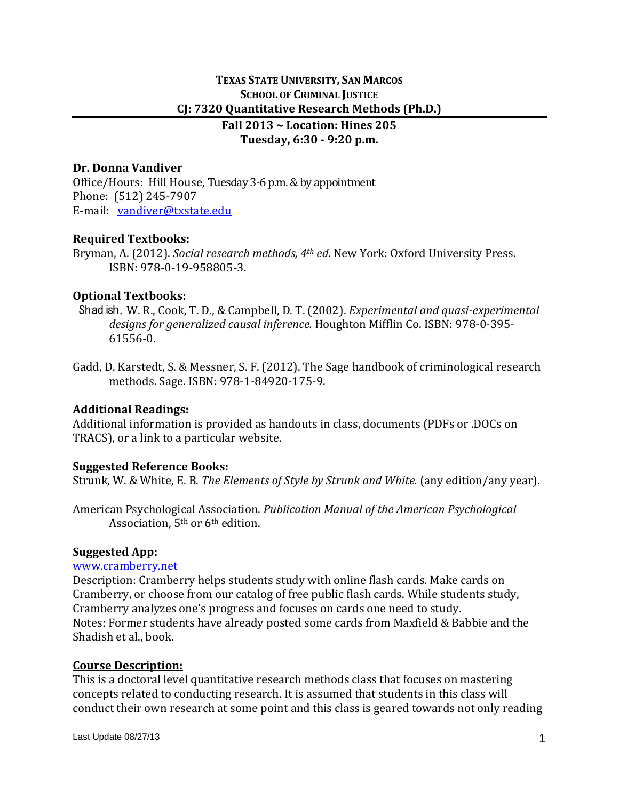# **TEXAS STATE UNIVERSITY, SAN MARCOS SCHOOL OF CRIMINAL JUSTICE CJ: 7320 Quantitative Research Methods (Ph.D.)**

**Fall 2013 ~ Location: Hines 205 Tuesday, 6:30 - 9:20 p.m.**

#### **Dr. Donna Vandiver**

Office/Hours: Hill House, Tuesday 3-6 p.m. & by appointment Phone: (512) 245-7907 E-mail: [vandiver@txstate.edu](mailto:vandiver@txstate.edu)

### **Required Textbooks:**

Bryman, A. (2012). *Social research methods, 4th ed.* New York: Oxford University Press. ISBN: 978-0-19-958805-3.

### **Optional Textbooks:**

- Shadish, W. R., Cook, T. D., & Campbell, D. T. (2002). *Experimental and quasi-experimental designs for generalized causal inference.* Houghton Mifflin Co. ISBN: 978-0-395- 61556-0.
- Gadd, D. Karstedt, S. & Messner, S. F. (2012). The Sage handbook of criminological research methods. Sage. ISBN: 978-1-84920-175-9.

#### **Additional Readings:**

Additional information is provided as handouts in class, documents (PDFs or .DOCs on TRACS), or a link to a particular website.

#### **Suggested Reference Books:**

Strunk, W. & White, E. B. *The Elements of Style by Strunk and White.* (any edition/any year).

American Psychological Association. *Publication Manual of the American Psychological* Association, 5th or 6th edition.

#### **Suggested App:**

#### [www.cramberry.net](http://www.cramberry.net/)

Description: Cramberry helps students study with online flash cards. Make cards on Cramberry, or choose from our catalog of free public flash cards. While students study, Cramberry analyzes one's progress and focuses on cards one need to study. Notes: Former students have already posted some cards from Maxfield & Babbie and the Shadish et al., book.

#### **Course Description:**

This is a doctoral level quantitative research methods class that focuses on mastering concepts related to conducting research. It is assumed that students in this class will conduct their own research at some point and this class is geared towards not only reading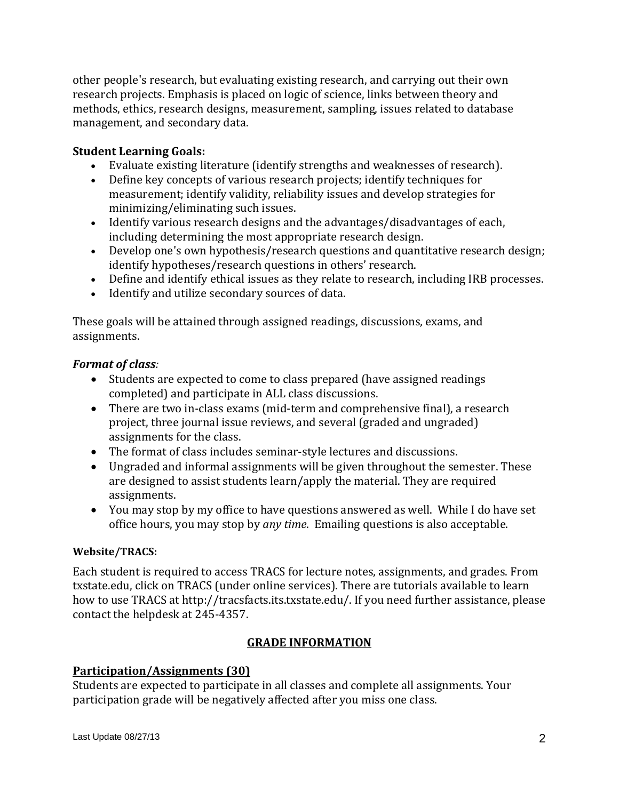other people's research, but evaluating existing research, and carrying out their own research projects. Emphasis is placed on logic of science, links between theory and methods, ethics, research designs, measurement, sampling, issues related to database management, and secondary data.

## **Student Learning Goals:**

- Evaluate existing literature (identify strengths and weaknesses of research).
- Define key concepts of various research projects; identify techniques for measurement; identify validity, reliability issues and develop strategies for minimizing/eliminating such issues.
- Identify various research designs and the advantages/disadvantages of each, including determining the most appropriate research design.
- Develop one's own hypothesis/research questions and quantitative research design; identify hypotheses/research questions in others' research.
- Define and identify ethical issues as they relate to research, including IRB processes.
- Identify and utilize secondary sources of data.

These goals will be attained through assigned readings, discussions, exams, and assignments.

## *Format of class:*

- Students are expected to come to class prepared (have assigned readings completed) and participate in ALL class discussions.
- There are two in-class exams (mid-term and comprehensive final), a research project, three journal issue reviews, and several (graded and ungraded) assignments for the class.
- The format of class includes seminar-style lectures and discussions.
- Ungraded and informal assignments will be given throughout the semester. These are designed to assist students learn/apply the material. They are required assignments.
- You may stop by my office to have questions answered as well. While I do have set office hours, you may stop by *any time*. Emailing questions is also acceptable.

## **Website/TRACS:**

Each student is required to access TRACS for lecture notes, assignments, and grades. From txstate.edu, click on TRACS (under online services). There are tutorials available to learn how to use TRACS at http://tracsfacts.its.txstate.edu/. If you need further assistance, please contact the helpdesk at 245-4357.

# **GRADE INFORMATION**

# **Participation/Assignments (30)**

Students are expected to participate in all classes and complete all assignments. Your participation grade will be negatively affected after you miss one class.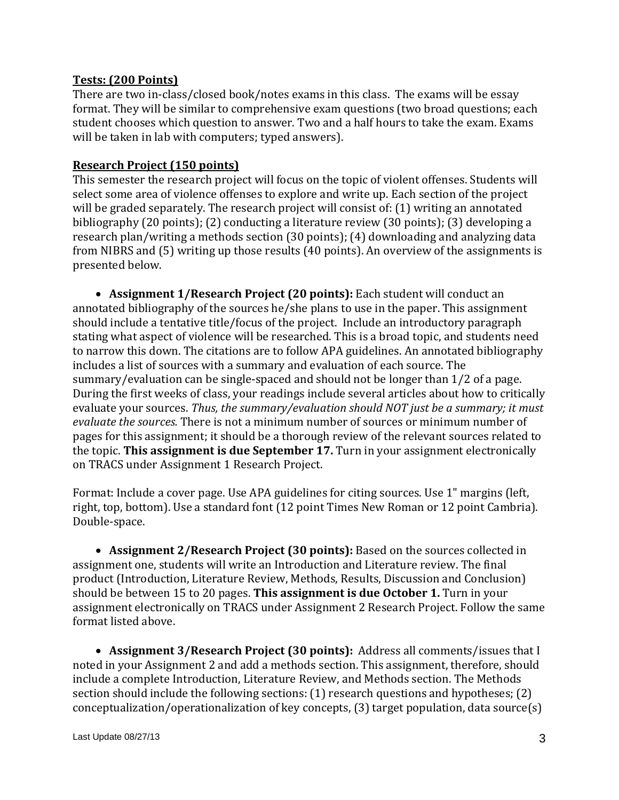## **Tests: (200 Points)**

There are two in-class/closed book/notes exams in this class. The exams will be essay format. They will be similar to comprehensive exam questions (two broad questions; each student chooses which question to answer. Two and a half hours to take the exam. Exams will be taken in lab with computers; typed answers).

## **Research Project (150 points)**

This semester the research project will focus on the topic of violent offenses. Students will select some area of violence offenses to explore and write up. Each section of the project will be graded separately. The research project will consist of: (1) writing an annotated bibliography (20 points); (2) conducting a literature review (30 points); (3) developing a research plan/writing a methods section (30 points); (4) downloading and analyzing data from NIBRS and (5) writing up those results (40 points). An overview of the assignments is presented below.

• **Assignment 1/Research Project (20 points):** Each student will conduct an annotated bibliography of the sources he/she plans to use in the paper. This assignment should include a tentative title/focus of the project. Include an introductory paragraph stating what aspect of violence will be researched. This is a broad topic, and students need to narrow this down. The citations are to follow APA guidelines. An annotated bibliography includes a list of sources with a summary and evaluation of each source. The summary/evaluation can be single-spaced and should not be longer than 1/2 of a page. During the first weeks of class, your readings include several articles about how to critically evaluate your sources. *Thus, the summary/evaluation should NOT just be a summary; it must evaluate the sources.* There is not a minimum number of sources or minimum number of pages for this assignment; it should be a thorough review of the relevant sources related to the topic. **This assignment is due September 17.** Turn in your assignment electronically on TRACS under Assignment 1 Research Project.

Format: Include a cover page. Use APA guidelines for citing sources. Use 1" margins (left, right, top, bottom). Use a standard font (12 point Times New Roman or 12 point Cambria). Double-space.

• **Assignment 2/Research Project (30 points):** Based on the sources collected in assignment one, students will write an Introduction and Literature review. The final product (Introduction, Literature Review, Methods, Results, Discussion and Conclusion) should be between 15 to 20 pages. **This assignment is due October 1.** Turn in your assignment electronically on TRACS under Assignment 2 Research Project. Follow the same format listed above.

• **Assignment 3/Research Project (30 points):** Address all comments/issues that I noted in your Assignment 2 and add a methods section. This assignment, therefore, should include a complete Introduction, Literature Review, and Methods section. The Methods section should include the following sections: (1) research questions and hypotheses; (2) conceptualization/operationalization of key concepts, (3) target population, data source(s)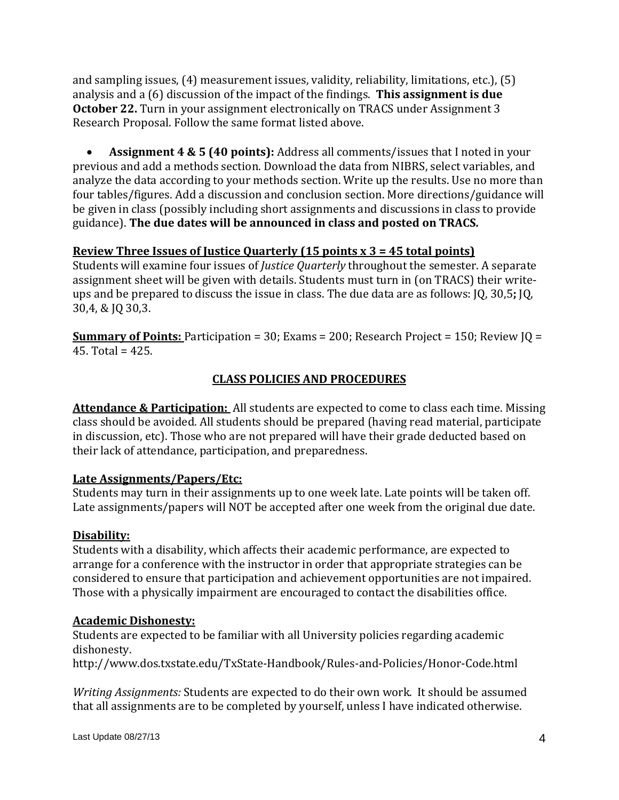and sampling issues, (4) measurement issues, validity, reliability, limitations, etc.), (5) analysis and a (6) discussion of the impact of the findings. **This assignment is due October 22.** Turn in your assignment electronically on TRACS under Assignment 3 Research Proposal. Follow the same format listed above.

• **Assignment 4 & 5 (40 points):** Address all comments/issues that I noted in your previous and add a methods section. Download the data from NIBRS, select variables, and analyze the data according to your methods section. Write up the results. Use no more than four tables/figures. Add a discussion and conclusion section. More directions/guidance will be given in class (possibly including short assignments and discussions in class to provide guidance). **The due dates will be announced in class and posted on TRACS.**

## **Review Three Issues of Justice Quarterly (15 points x 3 = 45 total points)**

Students will examine four issues of *Justice Quarterly* throughout the semester. A separate assignment sheet will be given with details. Students must turn in (on TRACS) their writeups and be prepared to discuss the issue in class. The due data are as follows: JQ, 30,5**;** JQ, 30,4, & JQ 30,3.

**Summary of Points:** Participation = 30; Exams = 200; Research Project = 150; Review JQ = 45. Total =  $425$ .

# **CLASS POLICIES AND PROCEDURES**

**Attendance & Participation:** All students are expected to come to class each time. Missing class should be avoided. All students should be prepared (having read material, participate in discussion, etc). Those who are not prepared will have their grade deducted based on their lack of attendance, participation, and preparedness.

## **Late Assignments/Papers/Etc:**

Students may turn in their assignments up to one week late. Late points will be taken off. Late assignments/papers will NOT be accepted after one week from the original due date.

# **Disability:**

Students with a disability, which affects their academic performance, are expected to arrange for a conference with the instructor in order that appropriate strategies can be considered to ensure that participation and achievement opportunities are not impaired. Those with a physically impairment are encouraged to contact the disabilities office.

## **Academic Dishonesty:**

Students are expected to be familiar with all University policies regarding academic dishonesty.

http://www.dos.txstate.edu/TxState-Handbook/Rules-and-Policies/Honor-Code.html

*Writing Assignments:* Students are expected to do their own work. It should be assumed that all assignments are to be completed by yourself, unless I have indicated otherwise.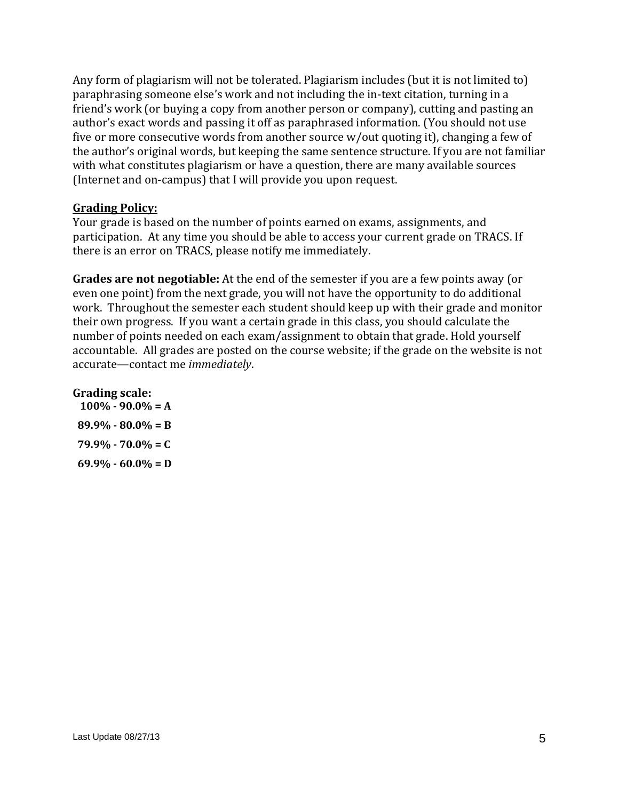Any form of plagiarism will not be tolerated. Plagiarism includes (but it is not limited to) paraphrasing someone else's work and not including the in-text citation, turning in a friend's work (or buying a copy from another person or company), cutting and pasting an author's exact words and passing it off as paraphrased information. (You should not use five or more consecutive words from another source w/out quoting it), changing a few of the author's original words, but keeping the same sentence structure. If you are not familiar with what constitutes plagiarism or have a question, there are many available sources (Internet and on-campus) that I will provide you upon request.

### **Grading Policy:**

Your grade is based on the number of points earned on exams, assignments, and participation. At any time you should be able to access your current grade on TRACS. If there is an error on TRACS, please notify me immediately.

**Grades are not negotiable:** At the end of the semester if you are a few points away (or even one point) from the next grade, you will not have the opportunity to do additional work. Throughout the semester each student should keep up with their grade and monitor their own progress. If you want a certain grade in this class, you should calculate the number of points needed on each exam/assignment to obtain that grade. Hold yourself accountable. All grades are posted on the course website; if the grade on the website is not accurate—contact me *immediately*.

**Grading scale: 100% - 90.0% = A 89.9% - 80.0% = B 79.9% - 70.0% = C 69.9% - 60.0% = D**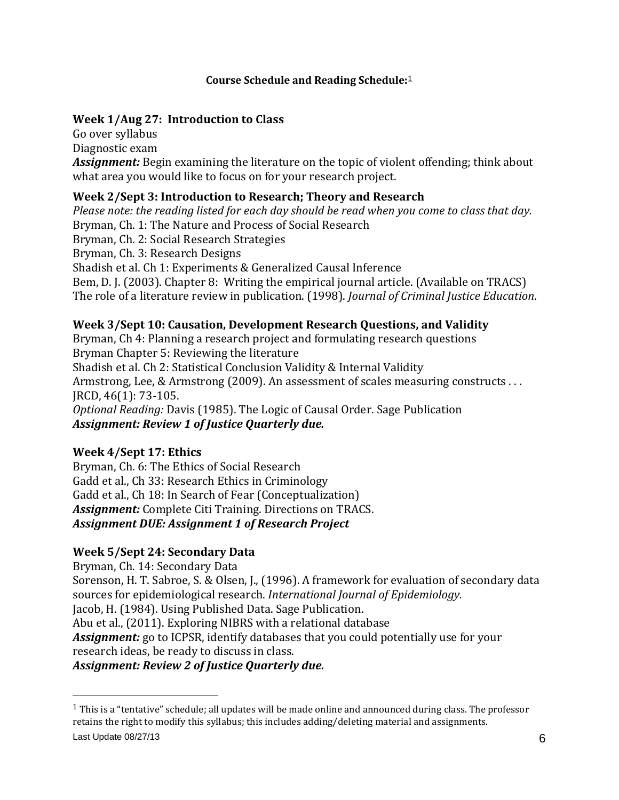## **Course Schedule and Reading Schedule:**[1](#page-5-0)

# **Week 1/Aug 27: Introduction to Class**

Go over syllabus Diagnostic exam *Assignment:* Begin examining the literature on the topic of violent offending; think about what area you would like to focus on for your research project.

## **Week 2/Sept 3: Introduction to Research; Theory and Research**

*Please note: the reading listed for each day should be read when you come to class that day.* Bryman, Ch. 1: The Nature and Process of Social Research Bryman, Ch. 2: Social Research Strategies Bryman, Ch. 3: Research Designs Shadish et al. Ch 1: Experiments & Generalized Causal Inference Bem, D. J. (2003). Chapter 8: Writing the empirical journal article. (Available on TRACS) The role of a literature review in publication. (1998). *Journal of Criminal Justice Education*.

# **Week 3/Sept 10: Causation, Development Research Questions, and Validity**

Bryman, Ch 4: Planning a research project and formulating research questions Bryman Chapter 5: Reviewing the literature Shadish et al. Ch 2: Statistical Conclusion Validity & Internal Validity Armstrong, Lee, & Armstrong (2009). An assessment of scales measuring constructs . . . JRCD, 46(1): 73-105. *Optional Reading:* Davis (1985). The Logic of Causal Order. Sage Publication *Assignment: Review 1 of Justice Quarterly due.*

# **Week 4/Sept 17: Ethics**

Bryman, Ch. 6: The Ethics of Social Research Gadd et al., Ch 33: Research Ethics in Criminology Gadd et al., Ch 18: In Search of Fear (Conceptualization) *Assignment:* Complete Citi Training. Directions on TRACS. *Assignment DUE: Assignment 1 of Research Project*

# **Week 5/Sept 24: Secondary Data**

Bryman, Ch. 14: Secondary Data

Sorenson, H. T. Sabroe, S. & Olsen, J., (1996). A framework for evaluation of secondary data sources for epidemiological research. *International Journal of Epidemiology.*

Jacob, H. (1984). Using Published Data. Sage Publication.

Abu et al., (2011). Exploring NIBRS with a relational database

*Assignment:* go to ICPSR, identify databases that you could potentially use for your research ideas, be ready to discuss in class.

*Assignment: Review 2 of Justice Quarterly due.*

 $\overline{a}$ 

<span id="page-5-0"></span>Last Update  $08/27/13$  6  $1$  This is a "tentative" schedule; all updates will be made online and announced during class. The professor retains the right to modify this syllabus; this includes adding/deleting material and assignments.